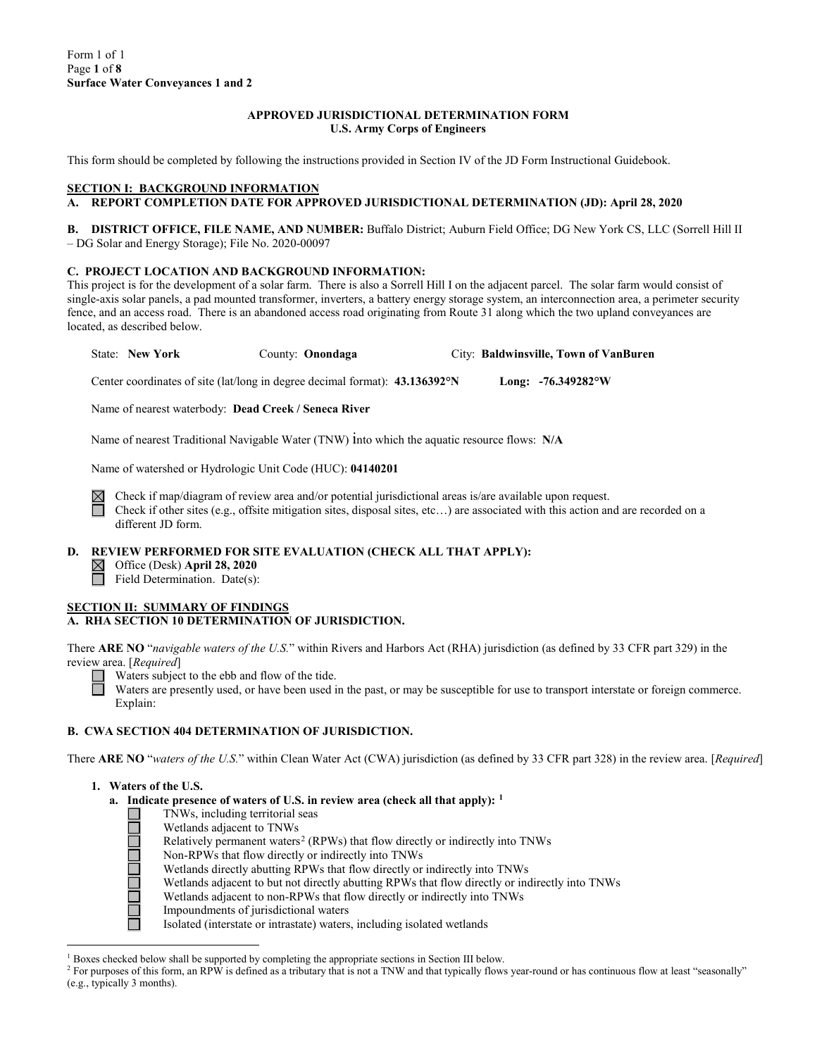#### **APPROVED JURISDICTIONAL DETERMINATION FORM U.S. Army Corps of Engineers**

This form should be completed by following the instructions provided in Section IV of the JD Form Instructional Guidebook.

### **SECTION I: BACKGROUND INFORMATION**

# **A. REPORT COMPLETION DATE FOR APPROVED JURISDICTIONAL DETERMINATION (JD): April 28, 2020**

**B. DISTRICT OFFICE, FILE NAME, AND NUMBER:** Buffalo District; Auburn Field Office; DG New York CS, LLC (Sorrell Hill II – DG Solar and Energy Storage); File No. 2020-00097

#### **C. PROJECT LOCATION AND BACKGROUND INFORMATION:**

This project is for the development of a solar farm. There is also a Sorrell Hill I on the adjacent parcel. The solar farm would consist of single-axis solar panels, a pad mounted transformer, inverters, a battery energy storage system, an interconnection area, a perimeter security fence, and an access road. There is an abandoned access road originating from Route 31 along which the two upland conveyances are located, as described below.

State: **New York** County: **Onondaga** City: **Baldwinsville, Town of VanBuren**

Center coordinates of site (lat/long in degree decimal format): **43.136392°N Long: -76.349282°W**

Name of nearest waterbody: **Dead Creek / Seneca River**

Name of nearest Traditional Navigable Water (TNW) into which the aquatic resource flows: **N/A**

Name of watershed or Hydrologic Unit Code (HUC): **04140201**

Check if map/diagram of review area and/or potential jurisdictional areas is/are available upon request. Check if other sites (e.g., offsite mitigation sites, disposal sites, etc…) are associated with this action and are recorded on a different JD form.

#### **D. REVIEW PERFORMED FOR SITE EVALUATION (CHECK ALL THAT APPLY):**

Office (Desk) **April 28, 2020**

Field Determination. Date(s):

## **SECTION II: SUMMARY OF FINDINGS**

# **A. RHA SECTION 10 DETERMINATION OF JURISDICTION.**

There **ARE NO** "*navigable waters of the U.S.*" within Rivers and Harbors Act (RHA) jurisdiction (as defined by 33 CFR part 329) in the review area. [*Required*]

Waters subject to the ebb and flow of the tide.

Waters are presently used, or have been used in the past, or may be susceptible for use to transport interstate or foreign commerce. Explain:

## **B. CWA SECTION 404 DETERMINATION OF JURISDICTION.**

There **ARE NO** "*waters of the U.S.*" within Clean Water Act (CWA) jurisdiction (as defined by 33 CFR part 328) in the review area. [*Required*]

- **1. Waters of the U.S.**
	- **a.** Indicate presence of waters of U.S. in review area (check all that apply): <sup>[1](#page-0-0)</sup><br>
	INWs, including territorial seas<br>
	Wetlands adjacent to TNWs<br>
	Relatively permanent waters<sup>2</sup> (RPWs) that flow directly or indirectly in<br>
	I
		- TNWs, including territorial seas
		- Wetlands adjacent to TNWs
		- Relatively permanent waters<sup>[2](#page-0-1)</sup> (RPWs) that flow directly or indirectly into TNWs
		- Non-RPWs that flow directly or indirectly into TNWs
		- Wetlands directly abutting RPWs that flow directly or indirectly into TNWs
		- Wetlands adjacent to but not directly abutting RPWs that flow directly or indirectly into TNWs
		- Wetlands adjacent to non-RPWs that flow directly or indirectly into TNWs
		- Impoundments of jurisdictional waters
			- Isolated (interstate or intrastate) waters, including isolated wetlands

 $<sup>1</sup>$  Boxes checked below shall be supported by completing the appropriate sections in Section III below.</sup>

<span id="page-0-1"></span><span id="page-0-0"></span><sup>&</sup>lt;sup>2</sup> For purposes of this form, an RPW is defined as a tributary that is not a TNW and that typically flows year-round or has continuous flow at least "seasonally" (e.g., typically 3 months).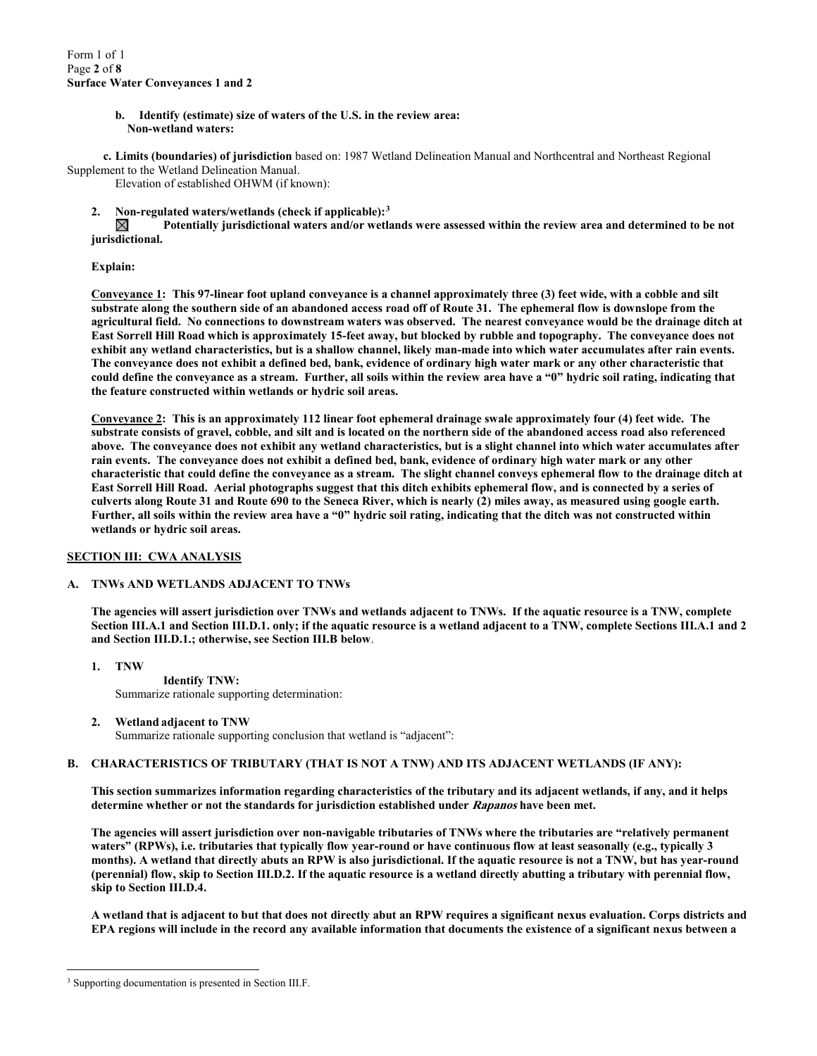**b. Identify (estimate) size of waters of the U.S. in the review area: Non-wetland waters:**

**c. Limits (boundaries) of jurisdiction** based on: 1987 Wetland Delineation Manual and Northcentral and Northeast Regional Supplement to the Wetland Delineation Manual.

Elevation of established OHWM (if known):

**2. Non-regulated waters/wetlands (check if applicable):[3](#page-1-0)**

⊠ **Potentially jurisdictional waters and/or wetlands were assessed within the review area and determined to be not jurisdictional.** 

#### **Explain:**

**Conveyance 1: This 97-linear foot upland conveyance is a channel approximately three (3) feet wide, with a cobble and silt substrate along the southern side of an abandoned access road off of Route 31. The ephemeral flow is downslope from the agricultural field. No connections to downstream waters was observed. The nearest conveyance would be the drainage ditch at East Sorrell Hill Road which is approximately 15-feet away, but blocked by rubble and topography. The conveyance does not exhibit any wetland characteristics, but is a shallow channel, likely man-made into which water accumulates after rain events. The conveyance does not exhibit a defined bed, bank, evidence of ordinary high water mark or any other characteristic that could define the conveyance as a stream. Further, all soils within the review area have a "0" hydric soil rating, indicating that the feature constructed within wetlands or hydric soil areas.**

**Conveyance 2: This is an approximately 112 linear foot ephemeral drainage swale approximately four (4) feet wide. The substrate consists of gravel, cobble, and silt and is located on the northern side of the abandoned access road also referenced above. The conveyance does not exhibit any wetland characteristics, but is a slight channel into which water accumulates after rain events. The conveyance does not exhibit a defined bed, bank, evidence of ordinary high water mark or any other characteristic that could define the conveyance as a stream. The slight channel conveys ephemeral flow to the drainage ditch at East Sorrell Hill Road. Aerial photographs suggest that this ditch exhibits ephemeral flow, and is connected by a series of culverts along Route 31 and Route 690 to the Seneca River, which is nearly (2) miles away, as measured using google earth. Further, all soils within the review area have a "0" hydric soil rating, indicating that the ditch was not constructed within wetlands or hydric soil areas.**

## **SECTION III: CWA ANALYSIS**

## **A. TNWs AND WETLANDS ADJACENT TO TNWs**

**The agencies will assert jurisdiction over TNWs and wetlands adjacent to TNWs. If the aquatic resource is a TNW, complete Section III.A.1 and Section III.D.1. only; if the aquatic resource is a wetland adjacent to a TNW, complete Sections III.A.1 and 2 and Section III.D.1.; otherwise, see Section III.B below**.

- **1. TNW Identify TNW:** Summarize rationale supporting determination:
- **2. Wetland adjacent to TNW**

Summarize rationale supporting conclusion that wetland is "adjacent":

## **B. CHARACTERISTICS OF TRIBUTARY (THAT IS NOT A TNW) AND ITS ADJACENT WETLANDS (IF ANY):**

**This section summarizes information regarding characteristics of the tributary and its adjacent wetlands, if any, and it helps determine whether or not the standards for jurisdiction established under Rapanos have been met.** 

**The agencies will assert jurisdiction over non-navigable tributaries of TNWs where the tributaries are "relatively permanent waters" (RPWs), i.e. tributaries that typically flow year-round or have continuous flow at least seasonally (e.g., typically 3 months). A wetland that directly abuts an RPW is also jurisdictional. If the aquatic resource is not a TNW, but has year-round (perennial) flow, skip to Section III.D.2. If the aquatic resource is a wetland directly abutting a tributary with perennial flow, skip to Section III.D.4.**

**A wetland that is adjacent to but that does not directly abut an RPW requires a significant nexus evaluation. Corps districts and EPA regions will include in the record any available information that documents the existence of a significant nexus between a** 

<span id="page-1-0"></span><sup>&</sup>lt;sup>3</sup> Supporting documentation is presented in Section III.F.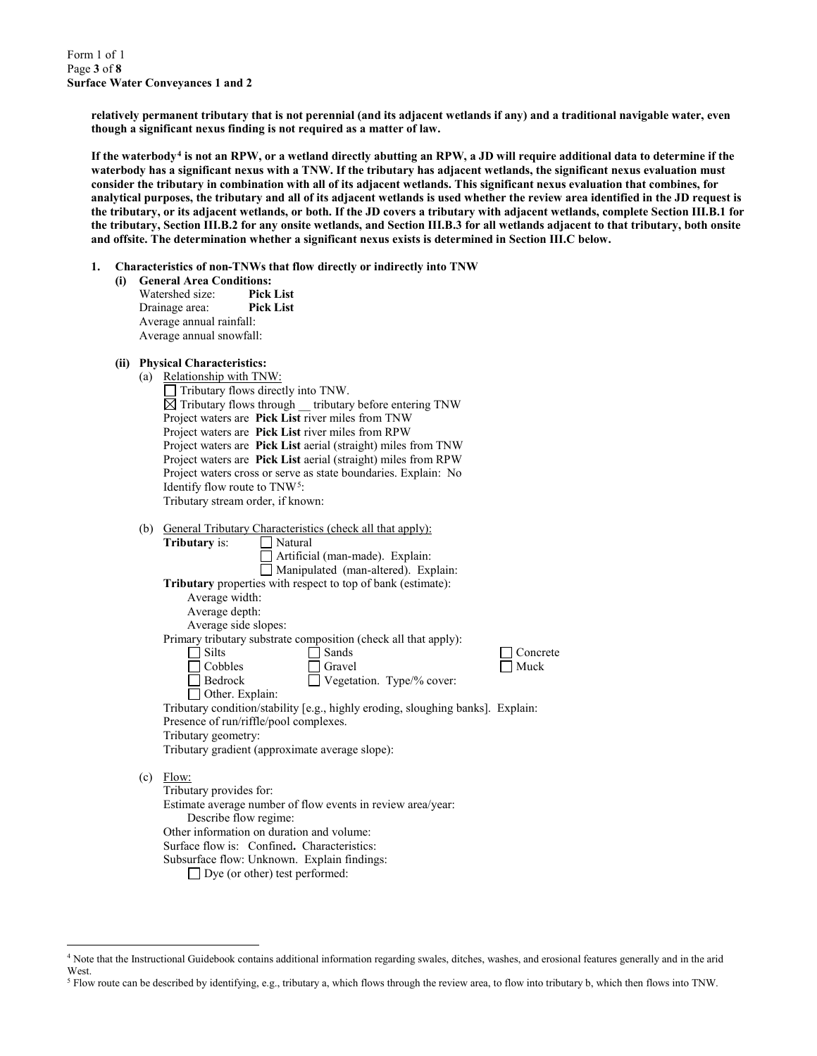Form 1 of 1 Page **3** of **8 Surface Water Conveyances 1 and 2**

> **relatively permanent tributary that is not perennial (and its adjacent wetlands if any) and a traditional navigable water, even though a significant nexus finding is not required as a matter of law.**

**If the waterbody[4](#page-2-0) is not an RPW, or a wetland directly abutting an RPW, a JD will require additional data to determine if the waterbody has a significant nexus with a TNW. If the tributary has adjacent wetlands, the significant nexus evaluation must consider the tributary in combination with all of its adjacent wetlands. This significant nexus evaluation that combines, for analytical purposes, the tributary and all of its adjacent wetlands is used whether the review area identified in the JD request is the tributary, or its adjacent wetlands, or both. If the JD covers a tributary with adjacent wetlands, complete Section III.B.1 for the tributary, Section III.B.2 for any onsite wetlands, and Section III.B.3 for all wetlands adjacent to that tributary, both onsite and offsite. The determination whether a significant nexus exists is determined in Section III.C below.**

- **1. Characteristics of non-TNWs that flow directly or indirectly into TNW**
	- **(i) General Area Conditions:** Watershed size: **Pick List** Drainage area: **Pick List** Average annual rainfall: Average annual snowfall:
	- **(ii) Physical Characteristics:**
		- (a) Relationship with TNW:  $\Box$  Tributary flows directly into TNW.  $\boxtimes$  Tributary flows through tributary before entering TNW Project waters are **Pick List** river miles from TNW Project waters are **Pick List** river miles from RPW Project waters are **Pick List** aerial (straight) miles from TNW Project waters are **Pick List** aerial (straight) miles from RPW Project waters cross or serve as state boundaries. Explain: No Identify flow route to TNW[5:](#page-2-1) Tributary stream order, if known:
		- (b) General Tributary Characteristics (check all that apply):

| 1 U J |                                           | <u>Cencral Tributal y Characteristics</u> (Check an that apply).                |          |
|-------|-------------------------------------------|---------------------------------------------------------------------------------|----------|
|       | <b>Tributary</b> is:                      | Natural                                                                         |          |
|       |                                           | Artificial (man-made). Explain:                                                 |          |
|       |                                           | Manipulated (man-altered). Explain:                                             |          |
|       |                                           | Tributary properties with respect to top of bank (estimate):                    |          |
|       | Average width:                            |                                                                                 |          |
|       | Average depth:                            |                                                                                 |          |
|       | Average side slopes:                      |                                                                                 |          |
|       |                                           | Primary tributary substrate composition (check all that apply):                 |          |
|       | <b>Silts</b>                              | Sands                                                                           | Concrete |
|       | Cobbles                                   | Gravel                                                                          | Muck     |
|       | Bedrock                                   | Vegetation. Type/% cover:                                                       |          |
|       | Other. Explain:                           |                                                                                 |          |
|       |                                           | Tributary condition/stability [e.g., highly eroding, sloughing banks]. Explain: |          |
|       | Presence of run/riffle/pool complexes.    |                                                                                 |          |
|       | Tributary geometry:                       |                                                                                 |          |
|       |                                           | Tributary gradient (approximate average slope):                                 |          |
|       |                                           |                                                                                 |          |
| (c)   | Flow:                                     |                                                                                 |          |
|       | Tributary provides for:                   |                                                                                 |          |
|       |                                           | Estimate average number of flow events in review area/year:                     |          |
|       | Describe flow regime:                     |                                                                                 |          |
|       | Other information on duration and volume: |                                                                                 |          |
|       |                                           | Surface flow is: Confined. Characteristics:                                     |          |
|       |                                           |                                                                                 |          |

Subsurface flow: Unknown. Explain findings:

□ Dye (or other) test performed:

<span id="page-2-0"></span> <sup>4</sup> Note that the Instructional Guidebook contains additional information regarding swales, ditches, washes, and erosional features generally and in the arid West.

<span id="page-2-1"></span><sup>5</sup> Flow route can be described by identifying, e.g., tributary a, which flows through the review area, to flow into tributary b, which then flows into TNW.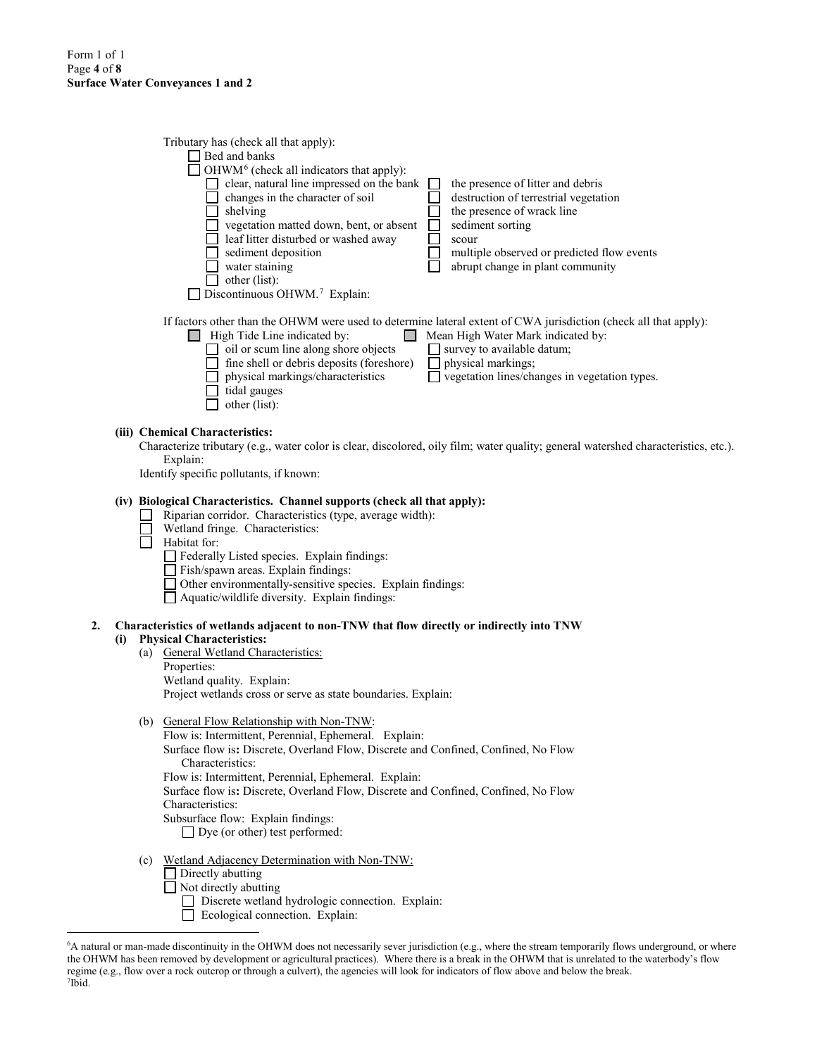|    |     | Tributary has (check all that apply):<br>$\Box$ Bed and banks<br>OHWM <sup>6</sup> (check all indicators that apply):<br>clear, natural line impressed on the bank<br>the presence of litter and debris<br>changes in the character of soil<br>$\Box$<br>destruction of terrestrial vegetation<br>$\Box$<br>the presence of wrack line<br>$\Box$ shelving<br>vegetation matted down, bent, or absent<br>$\Box$<br>sediment sorting<br>leaf litter disturbed or washed away<br>scour<br>sediment deposition<br>multiple observed or predicted flow events<br>$\Box$ water staining<br>abrupt change in plant community<br>$\Box$ other (list):<br>Discontinuous OHWM. <sup>7</sup> Explain: |  |
|----|-----|--------------------------------------------------------------------------------------------------------------------------------------------------------------------------------------------------------------------------------------------------------------------------------------------------------------------------------------------------------------------------------------------------------------------------------------------------------------------------------------------------------------------------------------------------------------------------------------------------------------------------------------------------------------------------------------------|--|
|    |     | If factors other than the OHWM were used to determine lateral extent of CWA jurisdiction (check all that apply):<br>$\Box$ High Tide Line indicated by:<br>Mean High Water Mark indicated by:<br>$\Box$ oil or scum line along shore objects<br>$\Box$ survey to available datum;<br>fine shell or debris deposits (foreshore)<br>physical markings;<br>vegetation lines/changes in vegetation types.<br>physical markings/characteristics<br>tidal gauges<br>other (list):                                                                                                                                                                                                                |  |
|    |     | (iii) Chemical Characteristics:<br>Characterize tributary (e.g., water color is clear, discolored, oily film; water quality; general watershed characteristics, etc.).<br>Explain:<br>Identify specific pollutants, if known:                                                                                                                                                                                                                                                                                                                                                                                                                                                              |  |
|    |     | (iv) Biological Characteristics. Channel supports (check all that apply):<br>Riparian corridor. Characteristics (type, average width):<br>Wetland fringe. Characteristics:<br>Habitat for:<br>Federally Listed species. Explain findings:<br>Fish/spawn areas. Explain findings:<br>□ Other environmentally-sensitive species. Explain findings:<br>$\Box$ Aquatic/wildlife diversity. Explain findings:                                                                                                                                                                                                                                                                                   |  |
| 2. | (i) | Characteristics of wetlands adjacent to non-TNW that flow directly or indirectly into TNW<br><b>Physical Characteristics:</b><br>(a) General Wetland Characteristics:<br>Properties:<br>Wetland quality. Explain:<br>Project wetlands cross or serve as state boundaries. Explain:                                                                                                                                                                                                                                                                                                                                                                                                         |  |
|    |     | (b) General Flow Relationship with Non-TNW:<br>Flow is: Intermittent, Perennial, Ephemeral. Explain:<br>Surface flow is: Discrete, Overland Flow, Discrete and Confined, Confined, No Flow<br>Characteristics:<br>Flow is: Intermittent, Perennial, Ephemeral. Explain:<br>Surface flow is: Discrete, Overland Flow, Discrete and Confined, Confined, No Flow<br>Characteristics:<br>Subsurface flow: Explain findings:<br>$\Box$ Dye (or other) test performed:                                                                                                                                                                                                                           |  |
|    |     | Wetland Adjacency Determination with Non-TNW:<br>(c)<br>Directly abutting<br>$\Box$ Not directly abutting<br>Discrete wetland hydrologic connection. Explain:                                                                                                                                                                                                                                                                                                                                                                                                                                                                                                                              |  |

Ecological connection. Explain:

<span id="page-3-1"></span><span id="page-3-0"></span> <sup>6</sup> <sup>6</sup>A natural or man-made discontinuity in the OHWM does not necessarily sever jurisdiction (e.g., where the stream temporarily flows underground, or where the OHWM has been removed by development or agricultural practices). Where there is a break in the OHWM that is unrelated to the waterbody's flow regime (e.g., flow over a rock outcrop or through a culvert), the agencies will look for indicators of flow above and below the break. 7 Ibid.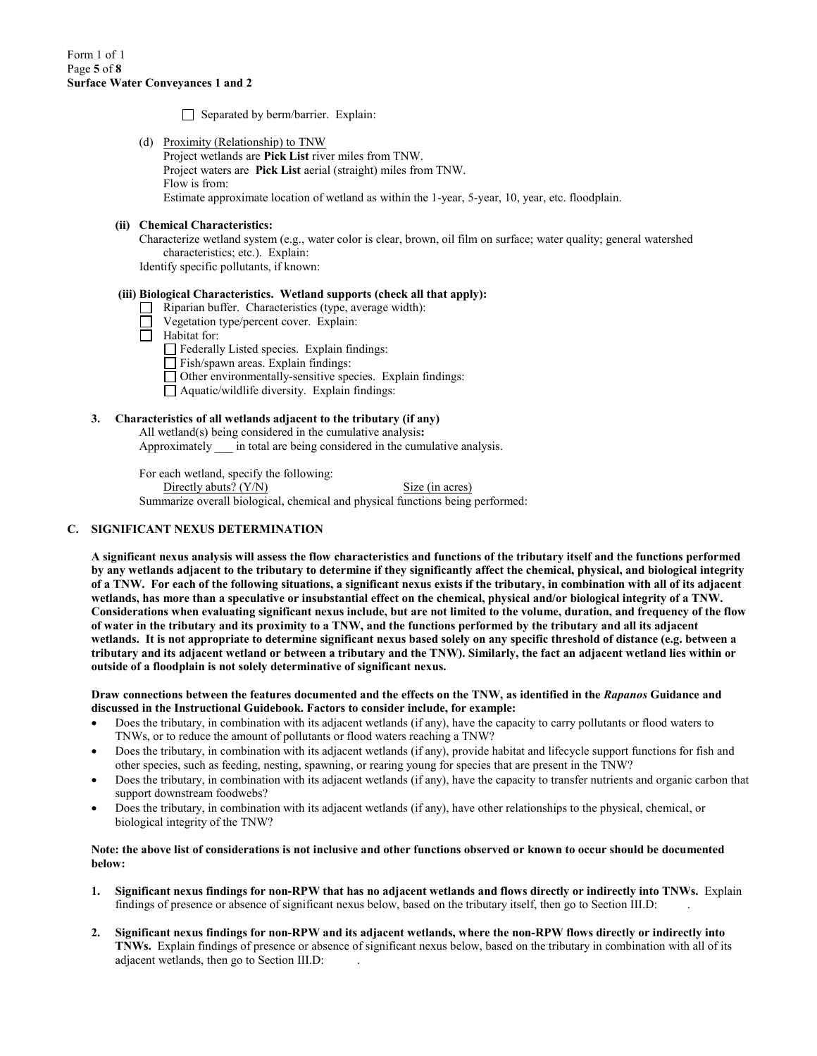Separated by berm/barrier. Explain:

(d) Proximity (Relationship) to TNW Project wetlands are **Pick List** river miles from TNW. Project waters are **Pick List** aerial (straight) miles from TNW. Flow is from: Estimate approximate location of wetland as within the 1-year, 5-year, 10, year, etc. floodplain.

#### **(ii) Chemical Characteristics:**

Characterize wetland system (e.g., water color is clear, brown, oil film on surface; water quality; general watershed characteristics; etc.). Explain:

Identify specific pollutants, if known:

#### **(iii) Biological Characteristics. Wetland supports (check all that apply):**

- Riparian buffer. Characteristics (type, average width):
- Vegetation type/percent cover. Explain:
- Ō Habitat for:
	- $\Box$  Federally Listed species. Explain findings:
	- $\Box$  Fish/spawn areas. Explain findings:
	- Other environmentally-sensitive species. Explain findings:
	- Aquatic/wildlife diversity. Explain findings:

## **3. Characteristics of all wetlands adjacent to the tributary (if any)**

All wetland(s) being considered in the cumulative analysis**:** 

Approximately in total are being considered in the cumulative analysis.

For each wetland, specify the following: Directly abuts? (Y/N) Size (in acres) Summarize overall biological, chemical and physical functions being performed:

## **C. SIGNIFICANT NEXUS DETERMINATION**

**A significant nexus analysis will assess the flow characteristics and functions of the tributary itself and the functions performed by any wetlands adjacent to the tributary to determine if they significantly affect the chemical, physical, and biological integrity of a TNW. For each of the following situations, a significant nexus exists if the tributary, in combination with all of its adjacent wetlands, has more than a speculative or insubstantial effect on the chemical, physical and/or biological integrity of a TNW. Considerations when evaluating significant nexus include, but are not limited to the volume, duration, and frequency of the flow of water in the tributary and its proximity to a TNW, and the functions performed by the tributary and all its adjacent wetlands. It is not appropriate to determine significant nexus based solely on any specific threshold of distance (e.g. between a tributary and its adjacent wetland or between a tributary and the TNW). Similarly, the fact an adjacent wetland lies within or outside of a floodplain is not solely determinative of significant nexus.** 

**Draw connections between the features documented and the effects on the TNW, as identified in the** *Rapanos* **Guidance and discussed in the Instructional Guidebook. Factors to consider include, for example:**

- Does the tributary, in combination with its adjacent wetlands (if any), have the capacity to carry pollutants or flood waters to TNWs, or to reduce the amount of pollutants or flood waters reaching a TNW?
- Does the tributary, in combination with its adjacent wetlands (if any), provide habitat and lifecycle support functions for fish and other species, such as feeding, nesting, spawning, or rearing young for species that are present in the TNW?
- Does the tributary, in combination with its adjacent wetlands (if any), have the capacity to transfer nutrients and organic carbon that support downstream foodwebs?
- Does the tributary, in combination with its adjacent wetlands (if any), have other relationships to the physical, chemical, or biological integrity of the TNW?

#### **Note: the above list of considerations is not inclusive and other functions observed or known to occur should be documented below:**

- **1. Significant nexus findings for non-RPW that has no adjacent wetlands and flows directly or indirectly into TNWs.** Explain findings of presence or absence of significant nexus below, based on the tributary itself, then go to Section III.D: .
- **2. Significant nexus findings for non-RPW and its adjacent wetlands, where the non-RPW flows directly or indirectly into TNWs.** Explain findings of presence or absence of significant nexus below, based on the tributary in combination with all of its adjacent wetlands, then go to Section III.D: .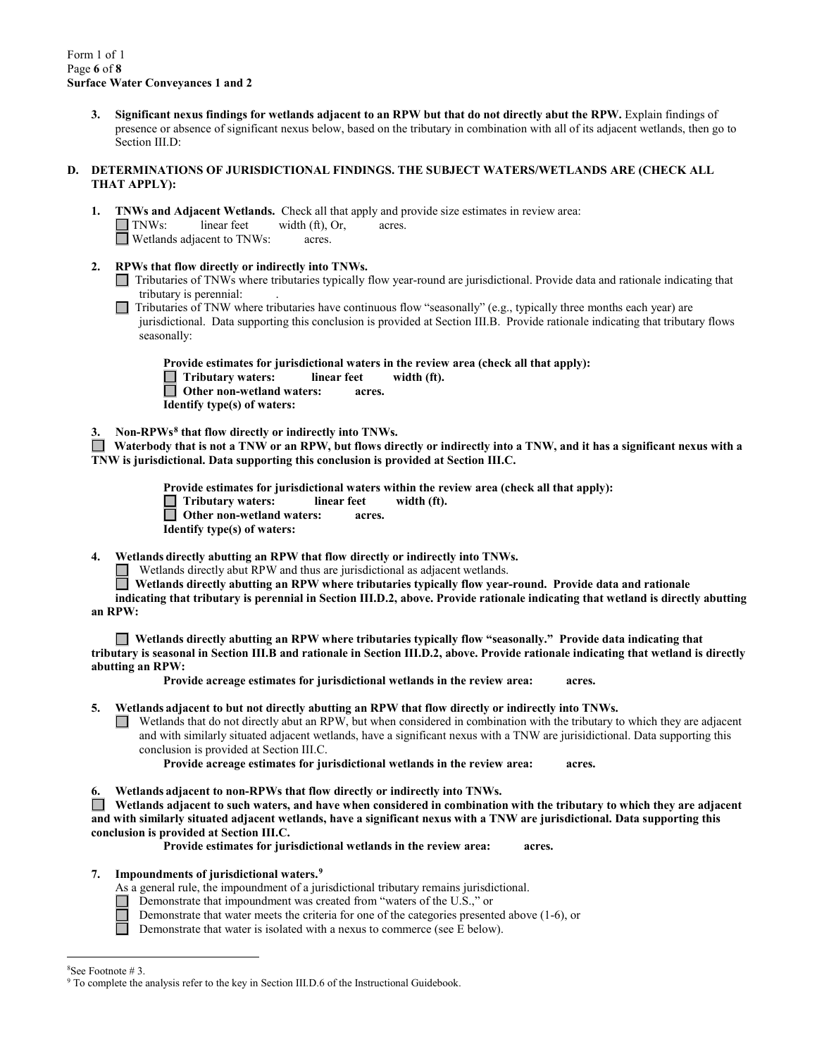**3. Significant nexus findings for wetlands adjacent to an RPW but that do not directly abut the RPW.** Explain findings of presence or absence of significant nexus below, based on the tributary in combination with all of its adjacent wetlands, then go to Section III.D:

### **D. DETERMINATIONS OF JURISDICTIONAL FINDINGS. THE SUBJECT WATERS/WETLANDS ARE (CHECK ALL THAT APPLY):**

- **1. TNWs and Adjacent Wetlands.** Check all that apply and provide size estimates in review area:  $\Box$  TNWs: linear feet width (ft), Or, acres. Wetlands adjacent to TNWs: acres.
- **2. RPWs that flow directly or indirectly into TNWs.**
	- Tributaries of TNWs where tributaries typically flow year-round are jurisdictional. Provide data and rationale indicating that tributary is perennial: .
	- $\Box$  Tributaries of TNW where tributaries have continuous flow "seasonally" (e.g., typically three months each year) are jurisdictional. Data supporting this conclusion is provided at Section III.B. Provide rationale indicating that tributary flows seasonally:

**Provide estimates for jurisdictional waters in the review area (check all that apply): Tributary waters: linear feet width (ft). Other non-wetland waters: acres.**

 **Identify type(s) of waters:** 

**3. Non-RPWs[8](#page-5-0) that flow directly or indirectly into TNWs.**

 **Waterbody that is not a TNW or an RPW, but flows directly or indirectly into a TNW, and it has a significant nexus with a TNW is jurisdictional. Data supporting this conclusion is provided at Section III.C.** 

> **Provide estimates for jurisdictional waters within the review area (check all that apply):**<br> **T** Tributary waters: linear feet width (ft).  $\Box$  Tributary waters: linear feet  **Other non-wetland waters: acres. Identify type(s) of waters:**

**4. Wetlands directly abutting an RPW that flow directly or indirectly into TNWs.** 

Wetlands directly abut RPW and thus are jurisdictional as adjacent wetlands.

**Wetlands directly abutting an RPW where tributaries typically flow year-round. Provide data and rationale** 

**indicating that tributary is perennial in Section III.D.2, above. Provide rationale indicating that wetland is directly abutting an RPW:** 

**Wetlands directly abutting an RPW where tributaries typically flow "seasonally." Provide data indicating that tributary is seasonal in Section III.B and rationale in Section III.D.2, above. Provide rationale indicating that wetland is directly abutting an RPW:** 

**Provide acreage estimates for jurisdictional wetlands in the review area: acres.**

**5. Wetlands adjacent to but not directly abutting an RPW that flow directly or indirectly into TNWs.**

 $\Box$  Wetlands that do not directly abut an RPW, but when considered in combination with the tributary to which they are adjacent and with similarly situated adjacent wetlands, have a significant nexus with a TNW are jurisidictional. Data supporting this conclusion is provided at Section III.C.

**Provide acreage estimates for jurisdictional wetlands in the review area: acres.**

**6. Wetlands adjacent to non-RPWs that flow directly or indirectly into TNWs.** 

**Wetlands adjacent to such waters, and have when considered in combination with the tributary to which they are adjacent and with similarly situated adjacent wetlands, have a significant nexus with a TNW are jurisdictional. Data supporting this conclusion is provided at Section III.C.**

**Provide estimates for jurisdictional wetlands in the review area: acres.**

## **7. Impoundments of jurisdictional waters. [9](#page-5-1)**

As a general rule, the impoundment of a jurisdictional tributary remains jurisdictional.

- Demonstrate that impoundment was created from "waters of the U.S.," or
	- Demonstrate that water meets the criteria for one of the categories presented above (1-6), or
	- Demonstrate that water is isolated with a nexus to commerce (see E below).

П

 $\frac{1}{8}$ 

<span id="page-5-1"></span><span id="page-5-0"></span><sup>&</sup>lt;sup>8</sup>See Footnote # 3.<br><sup>9</sup> To complete the analysis refer to the key in Section III.D.6 of the Instructional Guidebook.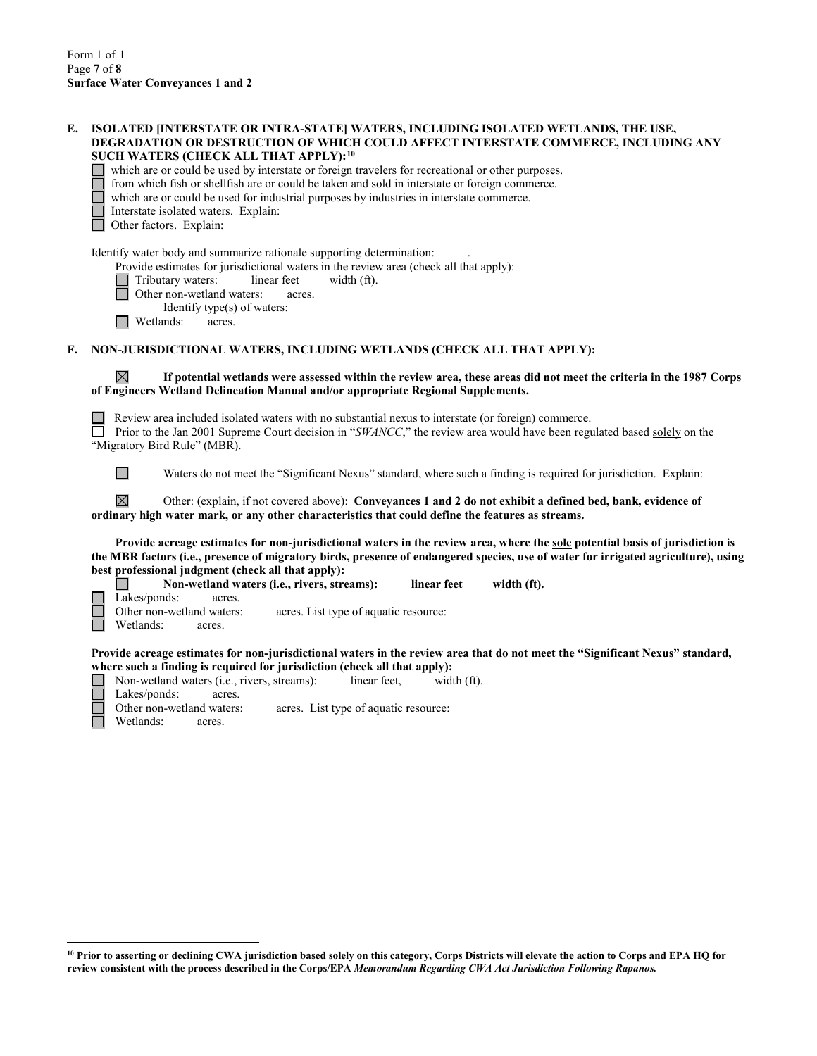$\overline{a}$ 

| E. | ISOLATED [INTERSTATE OR INTRA-STATE] WATERS, INCLUDING ISOLATED WETLANDS, THE USE,<br>DEGRADATION OR DESTRUCTION OF WHICH COULD AFFECT INTERSTATE COMMERCE, INCLUDING ANY<br>SUCH WATERS (CHECK ALL THAT APPLY): <sup>10</sup><br>which are or could be used by interstate or foreign travelers for recreational or other purposes.<br>from which fish or shellfish are or could be taken and sold in interstate or foreign commerce.<br>which are or could be used for industrial purposes by industries in interstate commerce. |
|----|-----------------------------------------------------------------------------------------------------------------------------------------------------------------------------------------------------------------------------------------------------------------------------------------------------------------------------------------------------------------------------------------------------------------------------------------------------------------------------------------------------------------------------------|
|    | Interstate isolated waters. Explain:<br>Other factors. Explain:                                                                                                                                                                                                                                                                                                                                                                                                                                                                   |
|    | Identify water body and summarize rationale supporting determination:<br>Provide estimates for jurisdictional waters in the review area (check all that apply):<br>Tributary waters:<br>linear feet<br>width (ft).<br>Other non-wetland waters:<br>acres.<br>Identify type(s) of waters:<br>Wetlands:<br>acres.                                                                                                                                                                                                                   |
| F. | NON-JURISDICTIONAL WATERS, INCLUDING WETLANDS (CHECK ALL THAT APPLY):                                                                                                                                                                                                                                                                                                                                                                                                                                                             |
|    | $\boxtimes$<br>If potential wetlands were assessed within the review area, these areas did not meet the criteria in the 1987 Corps<br>of Engineers Wetland Delineation Manual and/or appropriate Regional Supplements.                                                                                                                                                                                                                                                                                                            |
|    | Review area included isolated waters with no substantial nexus to interstate (or foreign) commerce.<br>Prior to the Jan 2001 Supreme Court decision in "SWANCC," the review area would have been regulated based solely on the<br>"Migratory Bird Rule" (MBR).                                                                                                                                                                                                                                                                    |
|    | $\Box$<br>Waters do not meet the "Significant Nexus" standard, where such a finding is required for jurisdiction. Explain:                                                                                                                                                                                                                                                                                                                                                                                                        |
|    | $\boxtimes$<br>Other: (explain, if not covered above): Conveyances 1 and 2 do not exhibit a defined bed, bank, evidence of<br>ordinary high water mark, or any other characteristics that could define the features as streams.                                                                                                                                                                                                                                                                                                   |
|    | Provide acreage estimates for non-jurisdictional waters in the review area, where the sole potential basis of jurisdiction is<br>the MBR factors (i.e., presence of migratory birds, presence of endangered species, use of water for irrigated agriculture), using<br>best professional judgment (check all that apply):                                                                                                                                                                                                         |
|    | Non-wetland waters (i.e., rivers, streams):<br>linear feet<br>width (ft).<br>Lakes/ponds:<br>acres.<br>Other non-wetland waters:<br>acres. List type of aquatic resource:<br>Wetlands:<br>acres.                                                                                                                                                                                                                                                                                                                                  |
|    | Provide acreage estimates for non-jurisdictional waters in the review area that do not meet the "Significant Nexus" standard,<br>where such a finding is required for jurisdiction (check all that apply):<br>Non-wetland waters (i.e., rivers, streams):<br>width (ft).<br>linear feet,<br>Lakes/ponds:<br>acres.<br>Other non-wetland waters:<br>acres. List type of aquatic resource:<br>Wetlands:<br>acres.                                                                                                                   |
|    |                                                                                                                                                                                                                                                                                                                                                                                                                                                                                                                                   |

<span id="page-6-0"></span>**<sup>10</sup> Prior to asserting or declining CWA jurisdiction based solely on this category, Corps Districts will elevate the action to Corps and EPA HQ for review consistent with the process described in the Corps/EPA** *Memorandum Regarding CWA Act Jurisdiction Following Rapanos.*